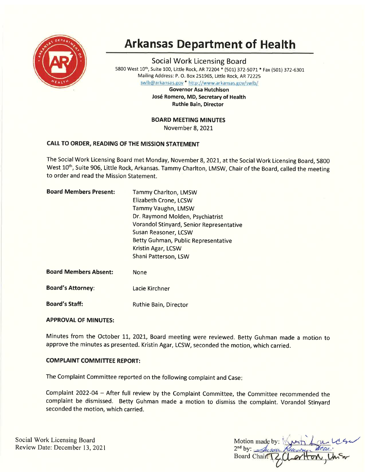

# Arkansas Department of Health

Social Work Licensing Board <sup>5800</sup>West 10th, Suite 100, Little Rock, AR 72204\* (501) 372-5071 \* Fax (501) 372-630I Mailing Address: P. O. Box 251965, Little Rock, AR72225

swlb@arkansas.gov \* http://www.arkansas.gov/swlb/

Governor Asa Hutchison José Romero, MD, Secretary of Health Ruthie Bain, Director

BOARD MEETING MINUTES

November 8,2OZI

# CALL TO ORDER, READING OF THE MISSION STATEMENT

The Social Work Licensing Board met Monday, November 8,2O2L, at the Social Work Licensing Board, 5800 West 10<sup>th</sup>, Suite 906, Little Rock, Arkansas. Tammy Charlton, LMSW, Chair of the Board, called the meeting to order and read the Mission Statement.

| <b>Board Members Present:</b> | <b>Tammy Charlton, LMSW</b>              |  |
|-------------------------------|------------------------------------------|--|
|                               | <b>Elizabeth Crone, LCSW</b>             |  |
|                               | <b>Tammy Vaughn, LMSW</b>                |  |
|                               | Dr. Raymond Molden, Psychiatrist         |  |
|                               | Vorandol Stinyard, Senior Representative |  |
|                               | Susan Reasoner, LCSW                     |  |
|                               | Betty Guhman, Public Representative      |  |
|                               | Kristin Agar, LCSW                       |  |
|                               | Shani Patterson, LSW                     |  |
| <b>Board Members Absent:</b>  | None                                     |  |
| <b>Board's Attorney:</b>      | Lacie Kirchner                           |  |
| <b>Board's Staff:</b>         | Ruthie Bain, Director                    |  |

# **APPROVAL OF MINUTES:**

Minutes from the October 11, 2021, Board meeting were reviewed. Betty Guhman made a motion to approve the minutes as presented. Kristin Agar, LCSW, seconded the motion, which carried.

# **COMPLAINT COMMITTEE REPORT:**

The complaint committee reported on the following complaint and case

Complaint 2022-04 - After full review by the Complaint Committee, the Committee recommended the complaint be dismissed. Betty Guhman made a motion to dismiss the complaint. Vorandol Stinyard seconded the motion, which carried.

Social Work Licensing Board Review Date: December 13,2021

Motion made by:  $2<sup>nd</sup>$  by:  $\mathcal{A}$ usan Board Chair:  $1e$  Su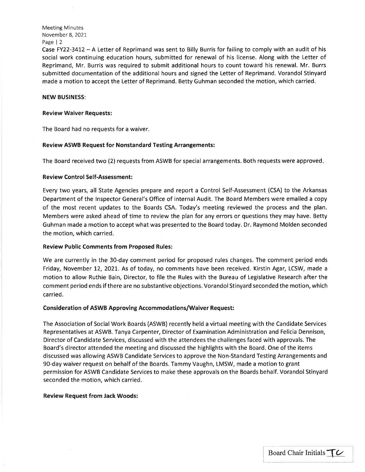Meeting Minutes November 8,2021 Page | 2

Case FY22-3412- A Letter of Reprimand was sent to Billy Burris for failing to comply with an audit of his social work continuing education hours, submitted for renewal of his license. Along with the Letter of Reprimand, Mr. Burris was required to submit additional hours to count toward his renewal. Mr. Burrs submitted documentation of the additional hours and signed the Letter of Reprimand. Vorandol Stinyard made a motion to accept the Letter of Reprimand. Betty Guhman seconded the motion, which carried.

## NEW BUSINESS:

## Review Waiver Requests:

The Board had no requests for a waiver.

# Review ASWB Request for Nonstandard Testing Arrangements:

The Board received two (2) requests from ASWB for special arrangements. Both requests were approved

# Review Control Self-Assessment:

Every two years, all State Agencies prepare and report a Control Self-Assessment (CSA) to the Arkansas Department of the lnspector General's Office of internal Audit. The Board Members were emailed a copy of the most recent updates to the Boards CSA. Today's meeting reviewed the process and the plan. Members were asked ahead of time to review the plan for any errors or questions they may have. Betty Guhman made a motion to accept what was presented to the Board today. Dr. Raymond Molden seconded the motion, which carried.

# Review Public Comments from Proposed Rules:

We are currently in the 30-day comment period for proposed rules changes. The comment period ends Friday, November 12, 2021. As of today, no comments have been received. Kirstin Agar, LCSW, made a motion to allow Ruthie Bain, Director, to file the Rules with the Bureau of Legislative Research after the comment period ends if there are no substantive objections. Vorandol Stinyard seconded the motion, which ca rried.

# Consideration of ASWB Approving Accommodations/Waiver Request:

The Association of Social Work Boards (ASWB) recently held a virtual meeting with the Candidate Services Representatives at ASWB. Tanya Carpenter, Director of Examination Administration and Felicia Dennison, Director of Candidate Services, discussed with the attendees the challenges faced with approvals. The Board's director attended the meeting and discussed the highlights with the Board. One of the items discussed was allowing ASWB Candidate Services to approve the Non-Standard Testing Arrangements and 90-day waiver request on behalf of the Boards. Tammy Vaughn, LMSW, made a motion to grant permission for ASWB Candidate Services to make these approvals on the Boards behalf. Vorandol Stinyard seconded the motion, which carried.

# Review Request from Jack Woods:

t.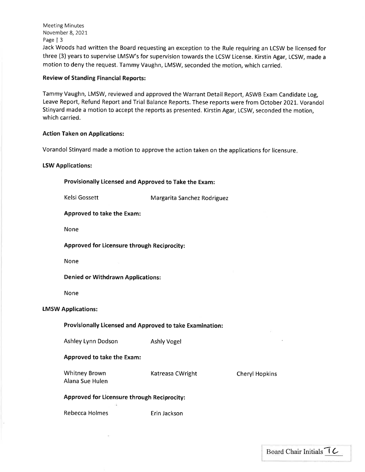Meeting Minutes November 8,2021 Page | <sup>3</sup>

Jack Woods had written the Board requesting an exception to the Rule requiring an LCSW be licensed for three (3) years to supervise LMSW's for supervision towards the LCSW License. Kirstin Agar, LCSW, made <sup>a</sup> motion to deny the request, Tammy Vaughn, LMSW, seconded the motion, which carried.

# Review of Standing Financial Reports:

Tammy Vaughn, LMSW, reviewed and approved the Warrant Detail Report, ASWB Exam Candidate Log, Leave Report, Refund Report and Trial Balance Reports. These reports were from October 2021. Vorandol Stinyard made a motion to accept the reports as presented. Kirstin Agar, LCSW, seconded the motion, which carried.

# Action Taken on Applications:

Vorandol Stinyard made a motion to approve the action taken on the applications for licensure

# LSW Applications:

Provisionally Licensed and Approved to Take the Exam:

Kelsi Gossett Margarita Sanchez Rodriguez

# Approved to take the Exam:

None

Approved for Licensure through Reciprocity:

None

Denied or Withdrawn Applications:

None

# tMSW Applications:

# Provisionally ticensed and Approved to take Examination:

Ashley Lynn Dodson Ashly Vogel

# Approved to take the Exam:

Whitney Brown Alana Sue Hulen Katreasa CWright Cheryl Hopkins

# Approved for Licensure through Reciprocity:

Rebecca Holmes **Example Except** Erin Jackson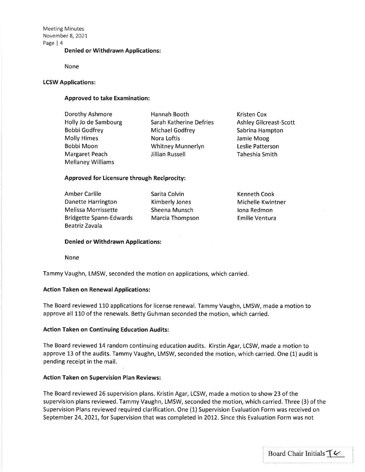Meeting Minutes November 8,202I Page | 4

## Denied or Withdrawn Applications:

None

## LCSW Applications:

# Approved to take Examination:

| Dorothy Ashmore          | Hannah Booth            | <b>Kristen Cox</b>            |
|--------------------------|-------------------------|-------------------------------|
| Holly Jo de Sambourg     | Sarah Katherine Defries | <b>Ashley Gilcreast-Scott</b> |
| <b>Bobbi Godfrey</b>     | Michael Godfrey         | Sabrina Hampton               |
| <b>Molly Himes</b>       | Nora Loftis             | Jamie Moog                    |
| Bobbi Moon               | Whitney Munnerlyn       | Leslie Patterson              |
| Margaret Peach           | <b>Jillian Russell</b>  | Taheshia Smith                |
| <b>Mellaney Williams</b> |                         |                               |

## Approved for Licensure through Reciprocity:

Amber Carlile Danette Harrington Melissa Morrissette Bridgette Spann-Edwards Beatriz Zavala

Sarita Colvin Kimberly Jones Sheena Munsch Marcia Thompson Kenneth Cook Michelle Kwintner lona Redmon Emilie Ventura

#### Denied or Withdrawn Applications:

None

Tammy Vaughn, LMSW, seconded the motion on applications, which carried.

## Action Taken on Renewal Applications:

The Board reviewed L10 applications for license renewal. Tammy Vaughn, LMSW, made a motion to approve all 110 of the renewals. Betty Guhman seconded the motion, which carried.

#### Action Taken on Continuing Education Audits:

The Board reviewed 14 random continuing education audits. Kirstin Agar, LCSW, made a motion to approve 13 of the audits. Tammy Vaughn, LMSW, seconded the motion, which carried. One (1) audit is pending receipt in the mail.

## Action Taken on Supervision Plan Reviews:

The Board reviewed 26 supervision plans. Kristin Agar, LCSW, made a motion to show 23 of the supervision plans reviewed. Tammy Vaughn, LMSW, seconded the motion, which carried. Three (3) of the Supervision Plans reviewed required clarification. One (1) Supervision Evaluation Form was received on September 24,2O2I, for Supervision that was completed in 2012. Since this Evaluation Form was not